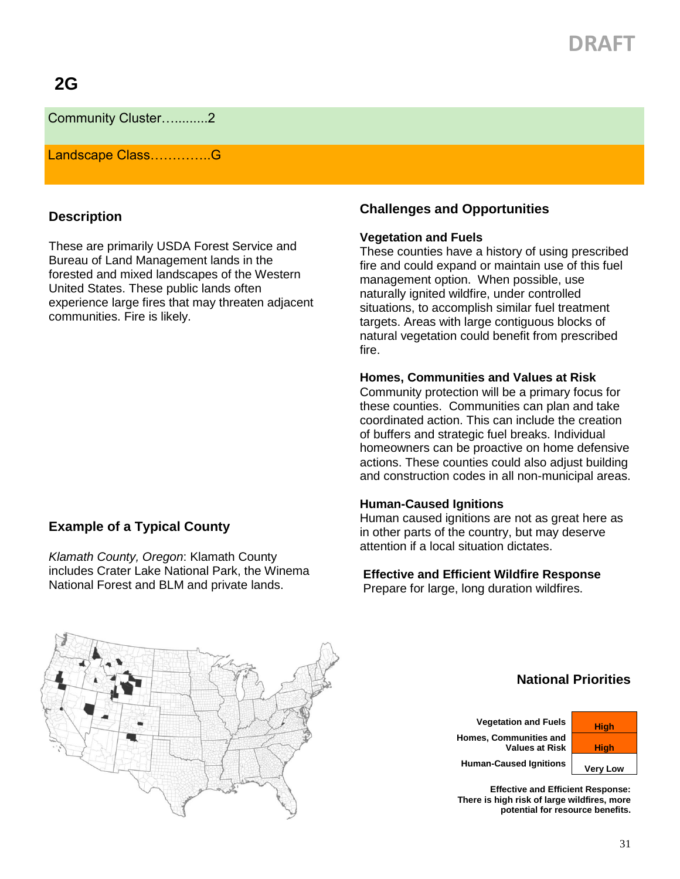# **DRAFT**

Community Cluster….........2

Landscape Class…………..G

### **Description**

These are primarily USDA Forest Service and Bureau of Land Management lands in the forested and mixed landscapes of the Western United States. These public lands often experience large fires that may threaten adjacent communities. Fire is likely.

## **Example of a Typical County**

*Klamath County, Oregon*: Klamath County includes Crater Lake National Park, the Winema National Forest and BLM and private lands.

## **Challenges and Opportunities**

#### **Vegetation and Fuels**

These counties have a history of using prescribed fire and could expand or maintain use of this fuel management option. When possible, use naturally ignited wildfire, under controlled situations, to accomplish similar fuel treatment targets. Areas with large contiguous blocks of natural vegetation could benefit from prescribed fire.

#### **Homes, Communities and Values at Risk**

Community protection will be a primary focus for these counties. Communities can plan and take coordinated action. This can include the creation of buffers and strategic fuel breaks. Individual homeowners can be proactive on home defensive actions. These counties could also adjust building and construction codes in all non-municipal areas.

#### **Human-Caused Ignitions**

Human caused ignitions are not as great here as in other parts of the country, but may deserve attention if a local situation dictates.

**Effective and Efficient Wildfire Response** Prepare for large, long duration wildfires.



## **National Priorities**

**Vegetation and Fuels High Homes, Communities and Values at Risk High** Human-Caused Ignitions **Very Low** 



**Effective and Efficient Response: There is high risk of large wildfires, more potential for resource benefits.**